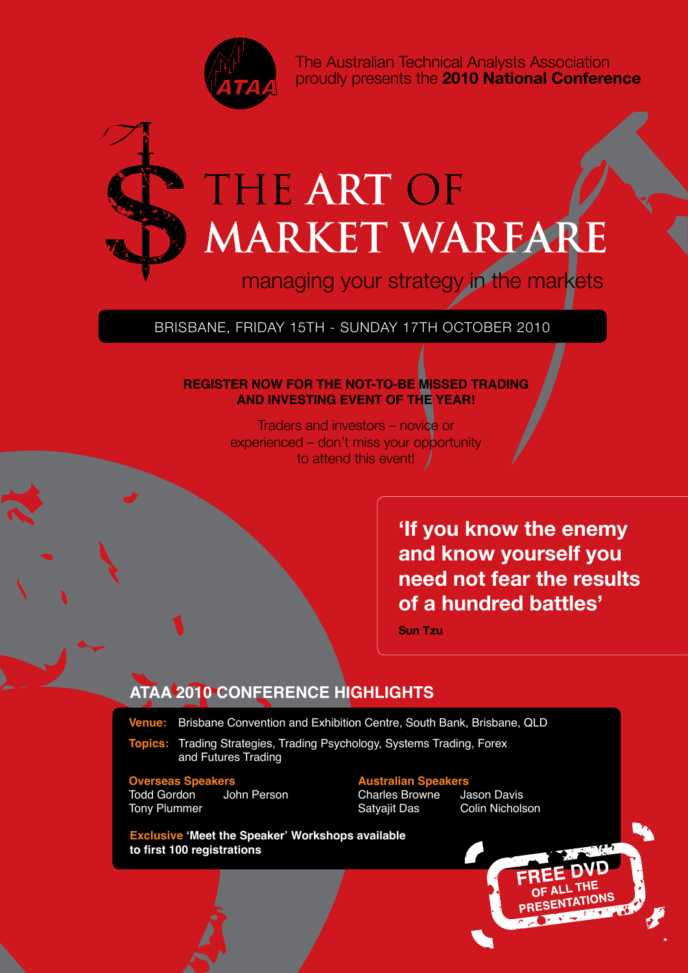

The Australian Technical Analysts Association proudly presents the **2010 National Conference**



# THE ART OF MARKET WARFARE

managing your strategy in the markets

#### BRISBANE, Friday 15TH - Sunday 17th October 2010

#### **REGISTER NOW FOR THE NOT-TO-BE MISSED TRADING AND INVESTING EVENT OF THE YEAR!**

Traders and investors – novice or experienced – don't miss your opportunity to attend this event!

> **'If you know the enemy and know yourself you need not fear the results of a hundred battles'**

**Sun Tzu**

#### **ATAA 2010 CONFERENCE HIGHLIGHTS**

**Venue:** Brisbane Convention and Exhibition Centre, South Bank, Brisbane, QLD

**Topics:** Trading Strategies, Trading Psychology, Systems Trading, Forex and Futures Trading

**Overseas Speakers**<br> **Australian Speakers**<br> **Charles Browne** University University Charles Browne Tony Plummer **Satyajit Das** Colin Nicholson Satyajit Das

Charles Browne Jason Davis<br>Satvaiit Das Colin Nicholson

**Exclusive 'Meet the Speaker' Workshops available to first 100 registrations**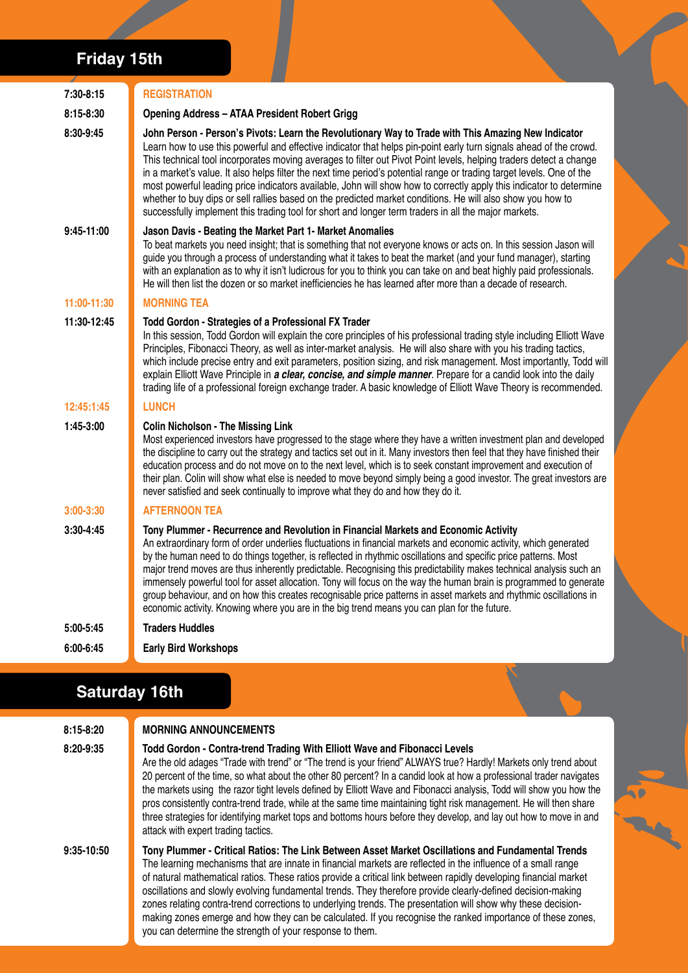# **Friday 15th**

| $7:30-8:15$   | <b>REGISTRATION</b>                                                                                                                                                                                                                                                                                                                                                                                                                                                                                                                                                                                                                                                                                                                                                                                                   |  |
|---------------|-----------------------------------------------------------------------------------------------------------------------------------------------------------------------------------------------------------------------------------------------------------------------------------------------------------------------------------------------------------------------------------------------------------------------------------------------------------------------------------------------------------------------------------------------------------------------------------------------------------------------------------------------------------------------------------------------------------------------------------------------------------------------------------------------------------------------|--|
| 8:15-8:30     | <b>Opening Address - ATAA President Robert Grigg</b>                                                                                                                                                                                                                                                                                                                                                                                                                                                                                                                                                                                                                                                                                                                                                                  |  |
| 8:30-9:45     | John Person - Person's Pivots: Learn the Revolutionary Way to Trade with This Amazing New Indicator<br>Learn how to use this powerful and effective indicator that helps pin-point early turn signals ahead of the crowd.<br>This technical tool incorporates moving averages to filter out Pivot Point levels, helping traders detect a change<br>in a market's value. It also helps filter the next time period's potential range or trading target levels. One of the<br>most powerful leading price indicators available, John will show how to correctly apply this indicator to determine<br>whether to buy dips or sell rallies based on the predicted market conditions. He will also show you how to<br>successfully implement this trading tool for short and longer term traders in all the major markets. |  |
| $9:45-11:00$  | Jason Davis - Beating the Market Part 1- Market Anomalies<br>To beat markets you need insight; that is something that not everyone knows or acts on. In this session Jason will<br>quide you through a process of understanding what it takes to beat the market (and your fund manager), starting<br>with an explanation as to why it isn't ludicrous for you to think you can take on and beat highly paid professionals.<br>He will then list the dozen or so market inefficiencies he has learned after more than a decade of research.                                                                                                                                                                                                                                                                           |  |
| 11:00-11:30   | <b>MORNING TEA</b>                                                                                                                                                                                                                                                                                                                                                                                                                                                                                                                                                                                                                                                                                                                                                                                                    |  |
| 11:30-12:45   | Todd Gordon - Strategies of a Professional FX Trader<br>In this session, Todd Gordon will explain the core principles of his professional trading style including Elliott Wave<br>Principles, Fibonacci Theory, as well as inter-market analysis. He will also share with you his trading tactics,<br>which include precise entry and exit parameters, position sizing, and risk management. Most importantly, Todd will<br>explain Elliott Wave Principle in a clear, concise, and simple manner. Prepare for a candid look into the daily<br>trading life of a professional foreign exchange trader. A basic knowledge of Elliott Wave Theory is recommended.                                                                                                                                                       |  |
| 12:45:1:45    | <b>LUNCH</b>                                                                                                                                                                                                                                                                                                                                                                                                                                                                                                                                                                                                                                                                                                                                                                                                          |  |
| 1:45-3:00     | <b>Colin Nicholson - The Missing Link</b><br>Most experienced investors have progressed to the stage where they have a written investment plan and developed<br>the discipline to carry out the strategy and tactics set out in it. Many investors then feel that they have finished their<br>education process and do not move on to the next level, which is to seek constant improvement and execution of<br>their plan. Colin will show what else is needed to move beyond simply being a good investor. The great investors are<br>never satisfied and seek continually to improve what they do and how they do it.                                                                                                                                                                                              |  |
| $3:00 - 3:30$ | <b>AFTERNOON TEA</b>                                                                                                                                                                                                                                                                                                                                                                                                                                                                                                                                                                                                                                                                                                                                                                                                  |  |
| $3:30-4:45$   | Tony Plummer - Recurrence and Revolution in Financial Markets and Economic Activity<br>An extraordinary form of order underlies fluctuations in financial markets and economic activity, which generated<br>by the human need to do things together, is reflected in rhythmic oscillations and specific price patterns. Most<br>major trend moves are thus inherently predictable. Recognising this predictability makes technical analysis such an<br>immensely powerful tool for asset allocation. Tony will focus on the way the human brain is programmed to generate<br>group behaviour, and on how this creates recognisable price patterns in asset markets and rhythmic oscillations in<br>economic activity. Knowing where you are in the big trend means you can plan for the future.                       |  |
| 5:00-5:45     | <b>Traders Huddles</b>                                                                                                                                                                                                                                                                                                                                                                                                                                                                                                                                                                                                                                                                                                                                                                                                |  |
| $6:00 - 6:45$ | <b>Early Bird Workshops</b>                                                                                                                                                                                                                                                                                                                                                                                                                                                                                                                                                                                                                                                                                                                                                                                           |  |

# **Saturday 16th**

| 8:15-8:20  | <b>MORNING ANNOUNCEMENTS</b>                                                                                                                                                                                                                                                                                                                                                                                                                                                                                                                                                                                                                                                                                                                   |  |
|------------|------------------------------------------------------------------------------------------------------------------------------------------------------------------------------------------------------------------------------------------------------------------------------------------------------------------------------------------------------------------------------------------------------------------------------------------------------------------------------------------------------------------------------------------------------------------------------------------------------------------------------------------------------------------------------------------------------------------------------------------------|--|
| 8:20-9:35  | Todd Gordon - Contra-trend Trading With Elliott Wave and Fibonacci Levels<br>Are the old adages "Trade with trend" or "The trend is your friend" ALWAYS true? Hardly! Markets only trend about<br>20 percent of the time, so what about the other 80 percent? In a candid look at how a professional trader navigates<br>the markets using the razor tight levels defined by Elliott Wave and Fibonacci analysis, Todd will show you how the<br>pros consistently contra-trend trade, while at the same time maintaining tight risk management. He will then share<br>three strategies for identifying market tops and bottoms hours before they develop, and lay out how to move in and<br>attack with expert trading tactics.                |  |
| 9:35-10:50 | Tony Plummer - Critical Ratios: The Link Between Asset Market Oscillations and Fundamental Trends<br>The learning mechanisms that are innate in financial markets are reflected in the influence of a small range<br>of natural mathematical ratios. These ratios provide a critical link between rapidly developing financial market<br>oscillations and slowly evolving fundamental trends. They therefore provide clearly-defined decision-making<br>zones relating contra-trend corrections to underlying trends. The presentation will show why these decision-<br>making zones emerge and how they can be calculated. If you recognise the ranked importance of these zones,<br>you can determine the strength of your response to them. |  |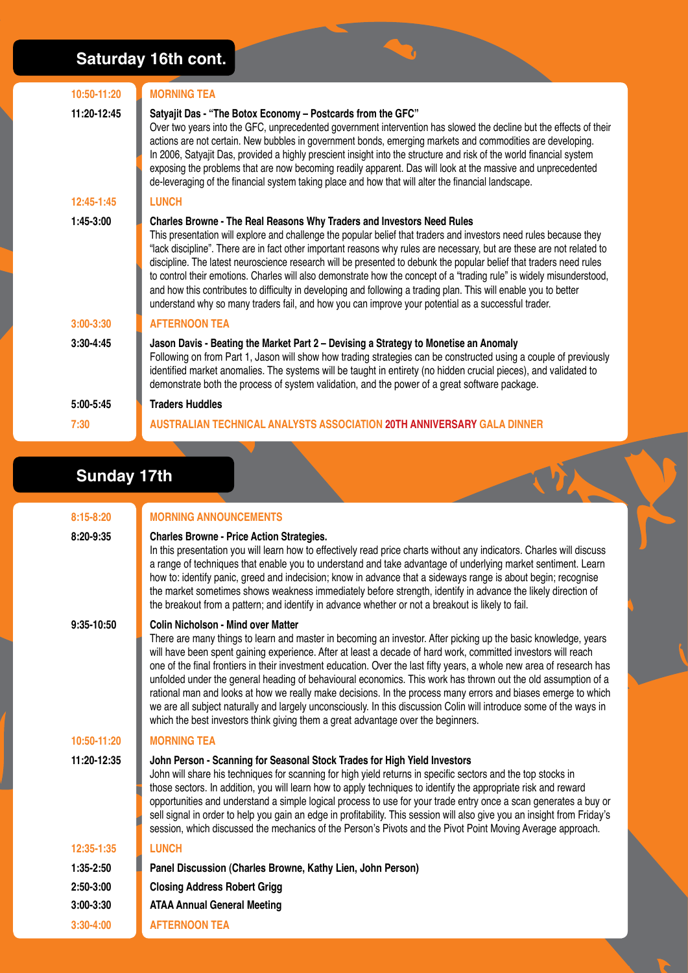### **Saturday 16th cont.**

| 10:50-11:20 | <b>MORNING TEA</b>                                                                                                                                                                                                                                                                                                                                                                                                                                                                                                                                                                                                                                                                                                                                                                                 |
|-------------|----------------------------------------------------------------------------------------------------------------------------------------------------------------------------------------------------------------------------------------------------------------------------------------------------------------------------------------------------------------------------------------------------------------------------------------------------------------------------------------------------------------------------------------------------------------------------------------------------------------------------------------------------------------------------------------------------------------------------------------------------------------------------------------------------|
| 11:20-12:45 | Satyajit Das - "The Botox Economy - Postcards from the GFC"<br>Over two years into the GFC, unprecedented government intervention has slowed the decline but the effects of their<br>actions are not certain. New bubbles in government bonds, emerging markets and commodities are developing.<br>In 2006, Satyajit Das, provided a highly prescient insight into the structure and risk of the world financial system<br>exposing the problems that are now becoming readily apparent. Das will look at the massive and unprecedented<br>de-leveraging of the financial system taking place and how that will alter the financial landscape.                                                                                                                                                     |
| 12:45-1:45  | <b>LUNCH</b>                                                                                                                                                                                                                                                                                                                                                                                                                                                                                                                                                                                                                                                                                                                                                                                       |
| $1:45-3:00$ | Charles Browne - The Real Reasons Why Traders and Investors Need Rules<br>This presentation will explore and challenge the popular belief that traders and investors need rules because they<br>"lack discipline". There are in fact other important reasons why rules are necessary, but are these are not related to<br>discipline. The latest neuroscience research will be presented to debunk the popular belief that traders need rules<br>to control their emotions. Charles will also demonstrate how the concept of a "trading rule" is widely misunderstood,<br>and how this contributes to difficulty in developing and following a trading plan. This will enable you to better<br>understand why so many traders fail, and how you can improve your potential as a successful trader. |
| $3:00-3:30$ | <b>AFTERNOON TEA</b>                                                                                                                                                                                                                                                                                                                                                                                                                                                                                                                                                                                                                                                                                                                                                                               |
| $3:30-4:45$ | Jason Davis - Beating the Market Part 2 - Devising a Strategy to Monetise an Anomaly<br>Following on from Part 1, Jason will show how trading strategies can be constructed using a couple of previously<br>identified market anomalies. The systems will be taught in entirety (no hidden crucial pieces), and validated to<br>demonstrate both the process of system validation, and the power of a great software package.                                                                                                                                                                                                                                                                                                                                                                      |
| $5:00-5:45$ | <b>Traders Huddles</b>                                                                                                                                                                                                                                                                                                                                                                                                                                                                                                                                                                                                                                                                                                                                                                             |
| 7:30        | AUSTRALIAN TECHNICAL ANALYSTS ASSOCIATION 20TH ANNIVERSARY GALA DINNER                                                                                                                                                                                                                                                                                                                                                                                                                                                                                                                                                                                                                                                                                                                             |

#### **Sunday 17th**

**8:15-8:20 Morning Announcements**

| 8:20-9:35   | <b>Charles Browne - Price Action Strategies.</b><br>In this presentation you will learn how to effectively read price charts without any indicators. Charles will discuss<br>a range of techniques that enable you to understand and take advantage of underlying market sentiment. Learn<br>how to: identify panic, greed and indecision; know in advance that a sideways range is about begin; recognise<br>the market sometimes shows weakness immediately before strength, identify in advance the likely direction of<br>the breakout from a pattern; and identify in advance whether or not a breakout is likely to fail.                                                                                                                                                                                                                    |  |
|-------------|----------------------------------------------------------------------------------------------------------------------------------------------------------------------------------------------------------------------------------------------------------------------------------------------------------------------------------------------------------------------------------------------------------------------------------------------------------------------------------------------------------------------------------------------------------------------------------------------------------------------------------------------------------------------------------------------------------------------------------------------------------------------------------------------------------------------------------------------------|--|
| 9:35-10:50  | <b>Colin Nicholson - Mind over Matter</b><br>There are many things to learn and master in becoming an investor. After picking up the basic knowledge, years<br>will have been spent gaining experience. After at least a decade of hard work, committed investors will reach<br>one of the final frontiers in their investment education. Over the last fifty years, a whole new area of research has<br>unfolded under the general heading of behavioural economics. This work has thrown out the old assumption of a<br>rational man and looks at how we really make decisions. In the process many errors and biases emerge to which<br>we are all subject naturally and largely unconsciously. In this discussion Colin will introduce some of the ways in<br>which the best investors think giving them a great advantage over the beginners. |  |
| 10:50-11:20 | <b>MORNING TEA</b>                                                                                                                                                                                                                                                                                                                                                                                                                                                                                                                                                                                                                                                                                                                                                                                                                                 |  |
| 11:20-12:35 | John Person - Scanning for Seasonal Stock Trades for High Yield Investors<br>John will share his techniques for scanning for high yield returns in specific sectors and the top stocks in<br>those sectors. In addition, you will learn how to apply techniques to identify the appropriate risk and reward<br>opportunities and understand a simple logical process to use for your trade entry once a scan generates a buy or<br>sell signal in order to help you gain an edge in profitability. This session will also give you an insight from Friday's<br>session, which discussed the mechanics of the Person's Pivots and the Pivot Point Moving Average approach.                                                                                                                                                                          |  |
| 12:35-1:35  | <b>LUNCH</b>                                                                                                                                                                                                                                                                                                                                                                                                                                                                                                                                                                                                                                                                                                                                                                                                                                       |  |
| $1:35-2:50$ | Panel Discussion (Charles Browne, Kathy Lien, John Person)                                                                                                                                                                                                                                                                                                                                                                                                                                                                                                                                                                                                                                                                                                                                                                                         |  |
| $2:50-3:00$ | <b>Closing Address Robert Grigg</b>                                                                                                                                                                                                                                                                                                                                                                                                                                                                                                                                                                                                                                                                                                                                                                                                                |  |
| $3:00-3:30$ | <b>ATAA Annual General Meeting</b>                                                                                                                                                                                                                                                                                                                                                                                                                                                                                                                                                                                                                                                                                                                                                                                                                 |  |
| $3:30-4:00$ | <b>AFTERNOON TEA</b>                                                                                                                                                                                                                                                                                                                                                                                                                                                                                                                                                                                                                                                                                                                                                                                                                               |  |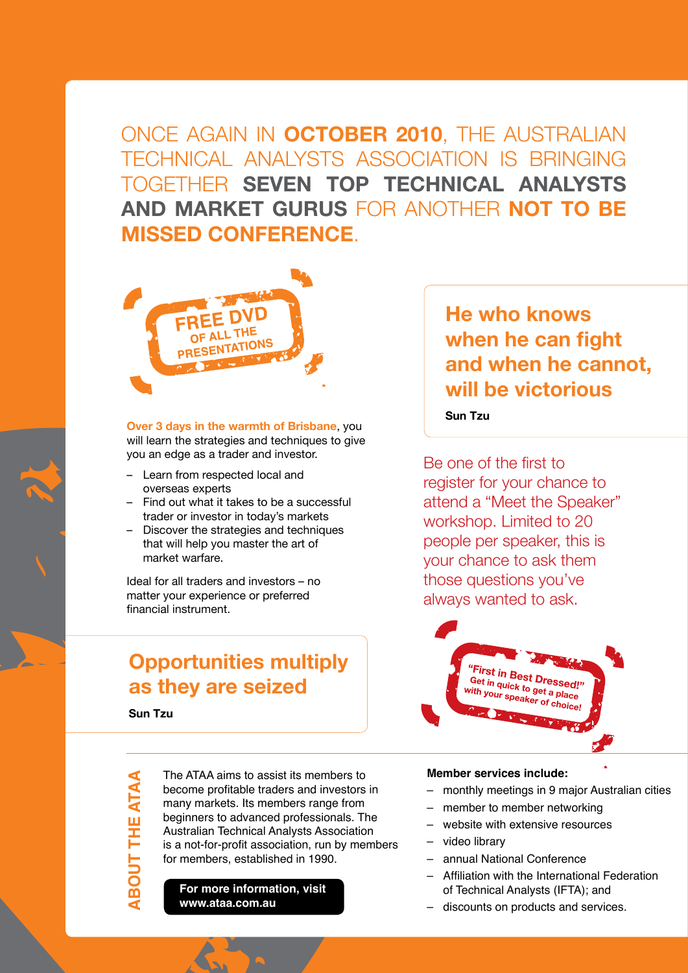Once again in **October 2010**, the Australian Technical Analysts Association is bringing together **seven top technical analysts and market gurus** for another **not to be missed conference**.



**Over 3 days in the warmth of Brisbane**, you will learn the strategies and techniques to give you an edge as a trader and investor.

- Learn from respected local and overseas experts
- Find out what it takes to be a successful trader or investor in today's markets
- Discover the strategies and techniques that will help you master the art of market warfare.

Ideal for all traders and investors – no matter your experience or preferred financial instrument.

# **Opportunities multiply as they are seized**

**Sun Tzu**

**ABO**

**UT THE ATAA**

THE<sub>1</sub>

The ATAA aims to assist its members to become profitable traders and investors in many markets. Its members range from beginners to advanced professionals. The Australian Technical Analysts Association is a not-for-profit association, run by members for members, established in 1990.

**For more information, visit www.ataa.com.au**

# **He who knows when he can fight and when he cannot, will be victorious**

#### **Sun Tzu**

Be one of the first to register for your chance to attend a "Meet the Speaker" workshop. Limited to 20 people per speaker, this is your chance to ask them those questions you've always wanted to ask.



#### **Member services include:**

- monthly meetings in 9 major Australian cities
- member to member networking
- website with extensive resources
- video library
- annual National Conference
- Affiliation with the International Federation of Technical Analysts (IFTA); and
- discounts on products and services.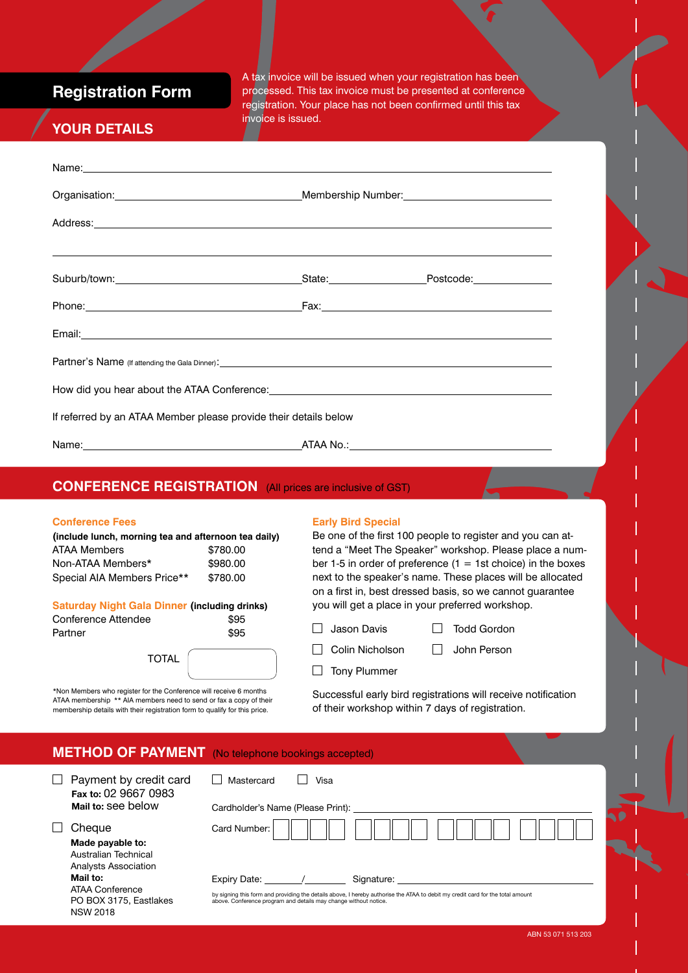**Registration Form**

A tax invoice will be issued when your registration has been processed. This tax invoice must be presented at conference registration. Your place has not been confirmed until this tax invoice is issued.

### **Your Details**

|                                                                                                                   | Name: <u>example and a series of the series of the series of the series of the series of the series of the series of the series of the series of the series of the series of the series of the series of the series of the serie</u> |
|-------------------------------------------------------------------------------------------------------------------|--------------------------------------------------------------------------------------------------------------------------------------------------------------------------------------------------------------------------------------|
|                                                                                                                   |                                                                                                                                                                                                                                      |
|                                                                                                                   |                                                                                                                                                                                                                                      |
|                                                                                                                   | <u> 2000 - Andrea Andrewski, američki politik († 18. december - 18. december - 18. december - 18. december - 18.</u>                                                                                                                 |
|                                                                                                                   |                                                                                                                                                                                                                                      |
|                                                                                                                   |                                                                                                                                                                                                                                      |
|                                                                                                                   |                                                                                                                                                                                                                                      |
|                                                                                                                   |                                                                                                                                                                                                                                      |
| If referred by an ATAA Member please provide their details below                                                  |                                                                                                                                                                                                                                      |
|                                                                                                                   |                                                                                                                                                                                                                                      |
| <b>CONFERENCE REGISTRATION</b> (All prices are inclusive of GST)                                                  |                                                                                                                                                                                                                                      |
| <b>Conference Fees</b><br>(include lunch, morning tea and afternoon tea daily)<br><b>ATAA Members</b><br>\$780.00 | <b>Early Bird Special</b><br>Be one of the first 100 people to register and you can at-<br>tend a "Meet The Speaker" workshop. Please place a nul                                                                                    |

Non-ATAA Members\* \$980.00 Special AIA Members Price\*\* \$780.00

#### **Saturday Night Gala Dinner (including drinks) Conference Attendee** \$95

| Conference Attendee | აყე  |
|---------------------|------|
| Partner             | \$95 |

| TOTAL |  |
|-------|--|
|       |  |

\*Non Members who register for the Conference will receive 6 months ATAA membership \*\* AIA members need to send or fax a copy of their membership details with their registration form to qualify for this price.

tend a "Meet The Speaker" workshop. Please place a number 1-5 in order of preference  $(1 = 1st$  choice) in the boxes next to the speaker's name. These places will be allocated on a first in, best dressed basis, so we cannot guarantee you will get a place in your preferred workshop.

□ Jason Davis □ Todd Gordon

 $\Box$  Tony Plummer

 $\Box$  Colin Nicholson  $\Box$  John Person

Successful early bird registrations will receive notification of their workshop within 7 days of registration.

| <b>METHOD OF PAYMENT</b> (No telephone bookings accepted) |  |
|-----------------------------------------------------------|--|
|-----------------------------------------------------------|--|

Expiry Date:

| $\Box$ Payment by credit card | Mastercard<br>Visa                |
|-------------------------------|-----------------------------------|
| Fax to: 02 9667 0983          |                                   |
| Mail to: see below            | Cardholder's Name (Please Print): |
| $\Box$ Cheque                 |                                   |
| Made payable to:              |                                   |
| Australian Technical<br>.     |                                   |

Analysts Association **Mail to:**  ATAA Conference PO BOX 3175, Eastlakes NSW 2018

| Signature: |  |
|------------|--|

by signing this form and providing the details above, I hereby authorise the ATAA to debit my credit card for the total amount above. Conference program and details may change without notice.